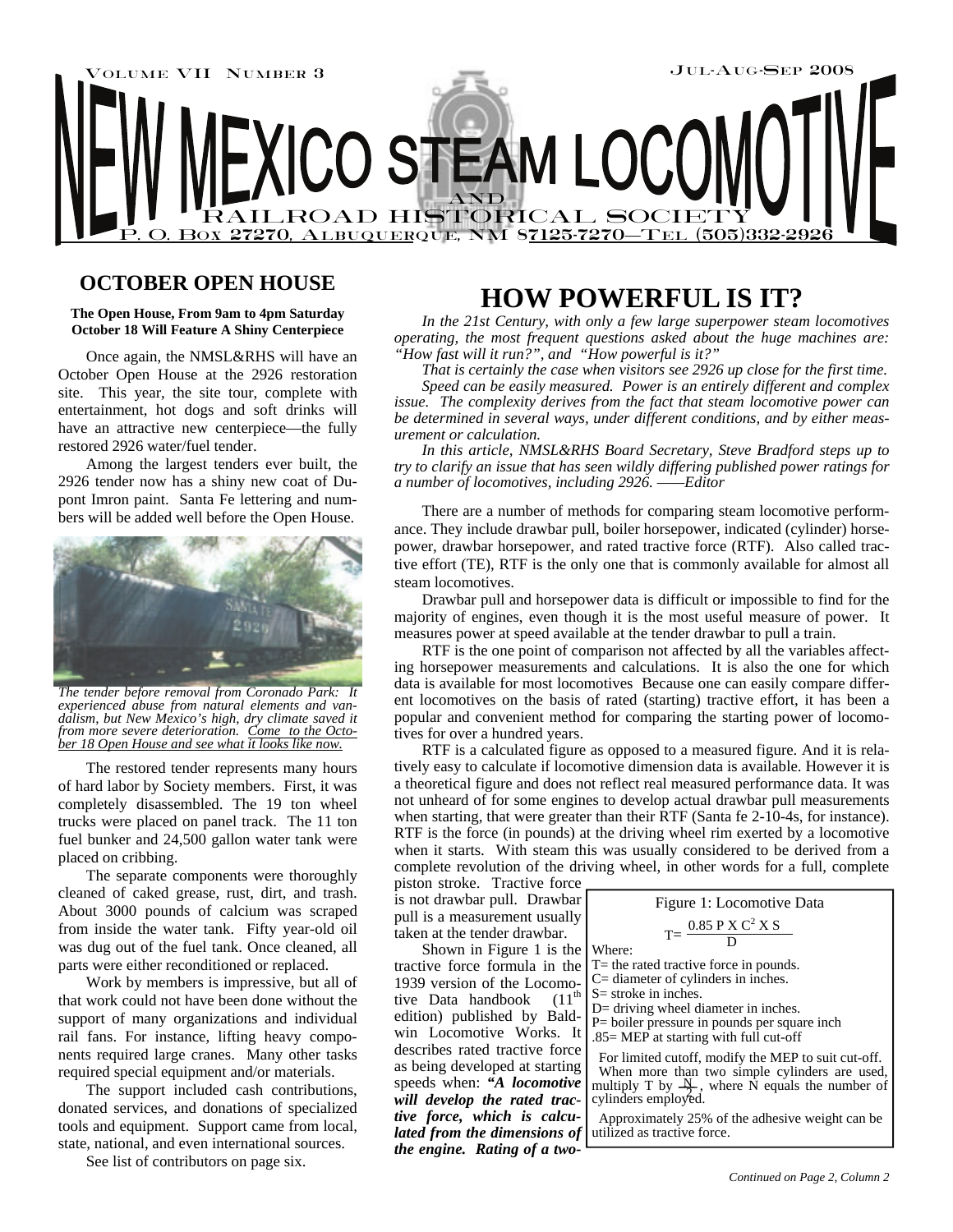

## **OCTOBER OPEN HOUSE**

#### **The Open House, From 9am to 4pm Saturday October 18 Will Feature A Shiny Centerpiece**

 Once again, the NMSL&RHS will have an October Open House at the 2926 restoration site. This year, the site tour, complete with entertainment, hot dogs and soft drinks will have an attractive new centerpiece—the fully restored 2926 water/fuel tender.

Among the largest tenders ever built, the 2926 tender now has a shiny new coat of Dupont Imron paint. Santa Fe lettering and numbers will be added well before the Open House.



*The tender before removal from Coronado Park: It experienced abuse from natural elements and vandalism, but New Mexico's high, dry climate saved it from more severe deterioration. Come to the October 18 Open House and see what it looks like now.*

The restored tender represents many hours of hard labor by Society members. First, it was completely disassembled. The 19 ton wheel trucks were placed on panel track. The 11 ton fuel bunker and 24,500 gallon water tank were placed on cribbing.

The separate components were thoroughly cleaned of caked grease, rust, dirt, and trash. About 3000 pounds of calcium was scraped from inside the water tank. Fifty year-old oil was dug out of the fuel tank. Once cleaned, all parts were either reconditioned or replaced.

Work by members is impressive, but all of that work could not have been done without the support of many organizations and individual rail fans. For instance, lifting heavy components required large cranes. Many other tasks required special equipment and/or materials.

The support included cash contributions, donated services, and donations of specialized tools and equipment. Support came from local, state, national, and even international sources.

See list of contributors on page six.

# **HOW POWERFUL IS IT?**

*In the 21st Century, with only a few large superpower steam locomotives operating, the most frequent questions asked about the huge machines are: "How fast will it run?", and "How powerful is it?"* 

*That is certainly the case when visitors see 2926 up close for the first time.* 

*Speed can be easily measured. Power is an entirely different and complex issue. The complexity derives from the fact that steam locomotive power can be determined in several ways, under different conditions, and by either measurement or calculation.* 

*In this article, NMSL&RHS Board Secretary, Steve Bradford steps up to try to clarify an issue that has seen wildly differing published power ratings for a number of locomotives, including 2926. ——Editor* 

There are a number of methods for comparing steam locomotive performance. They include drawbar pull, boiler horsepower, indicated (cylinder) horsepower, drawbar horsepower, and rated tractive force (RTF). Also called tractive effort (TE), RTF is the only one that is commonly available for almost all steam locomotives.

Drawbar pull and horsepower data is difficult or impossible to find for the majority of engines, even though it is the most useful measure of power. It measures power at speed available at the tender drawbar to pull a train.

RTF is the one point of comparison not affected by all the variables affecting horsepower measurements and calculations. It is also the one for which data is available for most locomotives Because one can easily compare different locomotives on the basis of rated (starting) tractive effort, it has been a popular and convenient method for comparing the starting power of locomotives for over a hundred years.

RTF is a calculated figure as opposed to a measured figure. And it is relatively easy to calculate if locomotive dimension data is available. However it is a theoretical figure and does not reflect real measured performance data. It was not unheard of for some engines to develop actual drawbar pull measurements when starting, that were greater than their RTF (Santa fe 2-10-4s, for instance). RTF is the force (in pounds) at the driving wheel rim exerted by a locomotive when it starts. With steam this was usually considered to be derived from a complete revolution of the driving wheel, in other words for a full, complete

piston stroke. Tractive force is not drawbar pull. Drawbar pull is a measurement usually taken at the tender drawbar.

Shown in Figure 1 is the tractive force formula in the 1939 version of the Locomotive Data handbook (11<sup>th</sup> edition) published by Baldwin Locomotive Works. It describes rated tractive force as being developed at starting speeds when: *"A locomotive will develop the rated tractive force, which is calculated from the dimensions of the engine. Rating of a two-*

| Figure 1: Locomotive Data                                                              |
|----------------------------------------------------------------------------------------|
| $T = \frac{0.85 \text{ P X C}^2 \text{ X S}}{D}$<br>Where:                             |
| $T =$ the rated tractive force in pounds.<br>$C =$ diameter of cylinders in inches.    |
| S= stroke in inches.<br>$D=$ driving wheel diameter in inches.                         |
| P= boiler pressure in pounds per square inch<br>.85= MEP at starting with full cut-off |
| For limited cutoff, modify the MEP to suit cut-off.<br><b>TTT1</b>                     |

 When more than two simple cylinders are used, multiply T by  $\frac{N}{2}$ , where N equals the number of cylinders employed.

 Approximately 25% of the adhesive weight can be utilized as tractive force.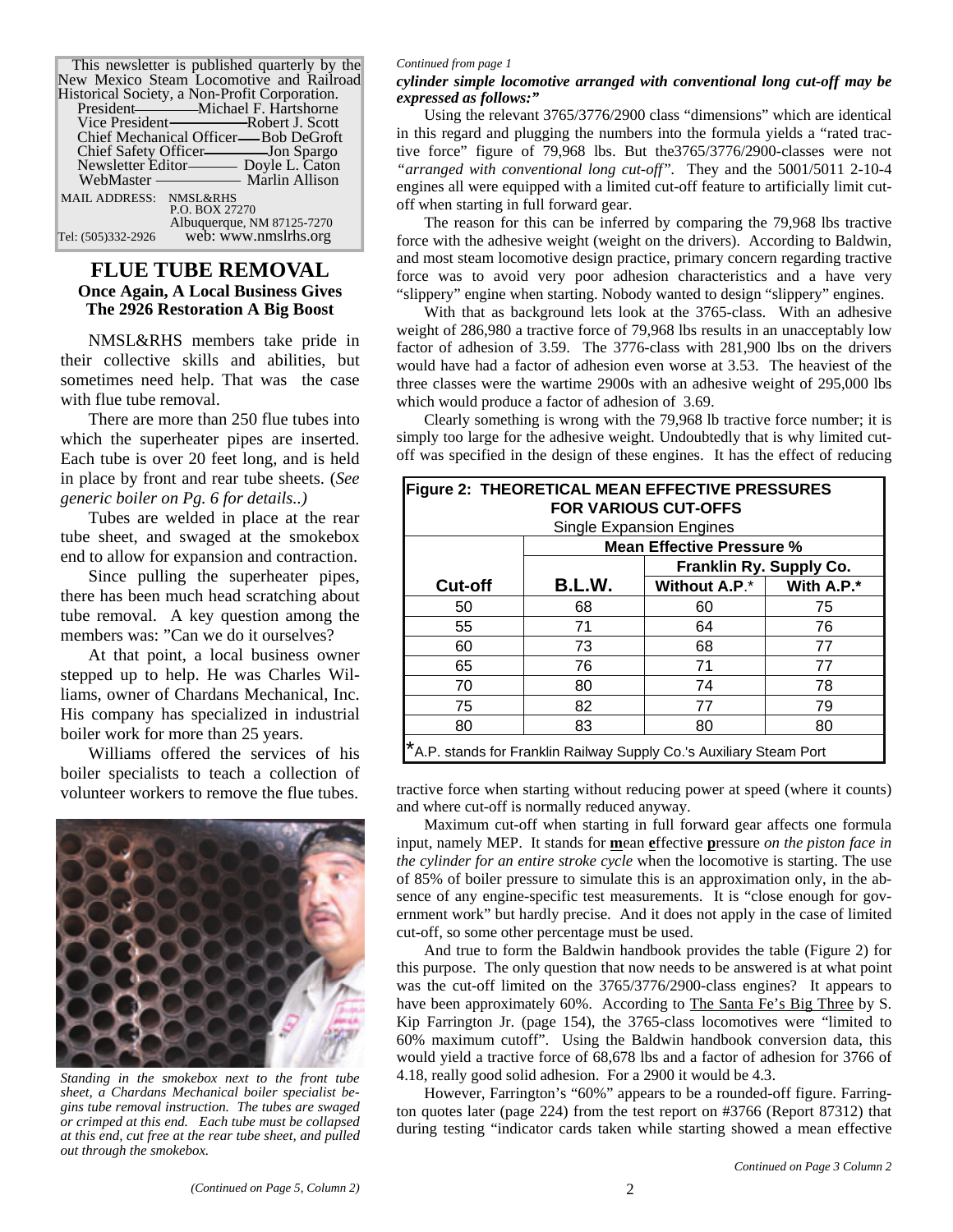| This newsletter is published quarterly by the |                            |  |  |  |  |
|-----------------------------------------------|----------------------------|--|--|--|--|
| New Mexico Steam Locomotive and Railroad      |                            |  |  |  |  |
| Historical Society, a Non-Profit Corporation. |                            |  |  |  |  |
|                                               |                            |  |  |  |  |
|                                               |                            |  |  |  |  |
| Chief Mechanical Officer—Bob DeGroft          |                            |  |  |  |  |
| Chief Safety Officer-Jon Spargo               |                            |  |  |  |  |
| Newsletter Editor——— Doyle L. Caton           |                            |  |  |  |  |
|                                               |                            |  |  |  |  |
| MAIL ADDRESS: NMSL&RHS                        |                            |  |  |  |  |
|                                               | P.O. BOX 27270             |  |  |  |  |
|                                               | Albuquerque, NM 87125-7270 |  |  |  |  |
| Tel: (505)332-2926                            | web: www.nmslrhs.org       |  |  |  |  |

### **FLUE TUBE REMOVAL Once Again, A Local Business Gives The 2926 Restoration A Big Boost**

NMSL&RHS members take pride in their collective skills and abilities, but sometimes need help. That was the case with flue tube removal.

There are more than 250 flue tubes into which the superheater pipes are inserted. Each tube is over 20 feet long, and is held in place by front and rear tube sheets. (*See generic boiler on Pg. 6 for details..)*

Tubes are welded in place at the rear tube sheet, and swaged at the smokebox end to allow for expansion and contraction.

Since pulling the superheater pipes, there has been much head scratching about tube removal. A key question among the members was: "Can we do it ourselves?

At that point, a local business owner stepped up to help. He was Charles Williams, owner of Chardans Mechanical, Inc. His company has specialized in industrial boiler work for more than 25 years.

Williams offered the services of his boiler specialists to teach a collection of volunteer workers to remove the flue tubes.



*Standing in the smokebox next to the front tube sheet, a Chardans Mechanical boiler specialist begins tube removal instruction. The tubes are swaged or crimped at this end. Each tube must be collapsed at this end, cut free at the rear tube sheet, and pulled out through the smokebox.* 

#### *Continued from page 1*

#### *cylinder simple locomotive arranged with conventional long cut-off may be expressed as follows:"*

Using the relevant 3765/3776/2900 class "dimensions" which are identical in this regard and plugging the numbers into the formula yields a "rated tractive force" figure of 79,968 lbs. But the3765/3776/2900-classes were not *"arranged with conventional long cut-off".* They and the 5001/5011 2-10-4 engines all were equipped with a limited cut-off feature to artificially limit cutoff when starting in full forward gear.

The reason for this can be inferred by comparing the 79,968 lbs tractive force with the adhesive weight (weight on the drivers). According to Baldwin, and most steam locomotive design practice, primary concern regarding tractive force was to avoid very poor adhesion characteristics and a have very "slippery" engine when starting. Nobody wanted to design "slippery" engines.

With that as background lets look at the 3765-class. With an adhesive weight of 286,980 a tractive force of 79,968 lbs results in an unacceptably low factor of adhesion of 3.59. The 3776-class with 281,900 lbs on the drivers would have had a factor of adhesion even worse at 3.53. The heaviest of the three classes were the wartime 2900s with an adhesive weight of 295,000 lbs which would produce a factor of adhesion of 3.69.

Clearly something is wrong with the 79,968 lb tractive force number; it is simply too large for the adhesive weight. Undoubtedly that is why limited cutoff was specified in the design of these engines. It has the effect of reducing

| Figure 2: THEORETICAL MEAN EFFECTIVE PRESSURES<br><b>FOR VARIOUS CUT-OFFS</b> |                                  |                         |            |  |
|-------------------------------------------------------------------------------|----------------------------------|-------------------------|------------|--|
| <b>Single Expansion Engines</b>                                               |                                  |                         |            |  |
|                                                                               | <b>Mean Effective Pressure %</b> |                         |            |  |
|                                                                               |                                  | Franklin Ry. Supply Co. |            |  |
| <b>Cut-off</b>                                                                | B.L.W.                           | Without A.P.*           | With A.P.* |  |
| 50                                                                            | 68                               | 60                      | 75         |  |
| 55                                                                            | 71                               | 64                      | 76         |  |
| 60                                                                            | 73                               | 68                      | 77         |  |
| 65                                                                            | 76                               | 71                      | 77         |  |
| 70                                                                            | 80                               | 74                      | 78         |  |
| 75                                                                            | 82                               | 77                      | 79         |  |
| 80                                                                            | 83                               | 80                      | 80         |  |
| A.P. stands for Franklin Railway Supply Co.'s Auxiliary Steam Port            |                                  |                         |            |  |

tractive force when starting without reducing power at speed (where it counts) and where cut-off is normally reduced anyway.

Maximum cut-off when starting in full forward gear affects one formula input, namely MEP. It stands for **m**ean **e**ffective **p**ressure *on the piston face in the cylinder for an entire stroke cycle* when the locomotive is starting. The use of 85% of boiler pressure to simulate this is an approximation only, in the absence of any engine-specific test measurements. It is "close enough for government work" but hardly precise. And it does not apply in the case of limited cut-off, so some other percentage must be used.

And true to form the Baldwin handbook provides the table (Figure 2) for this purpose. The only question that now needs to be answered is at what point was the cut-off limited on the 3765/3776/2900-class engines? It appears to have been approximately 60%. According to The Santa Fe's Big Three by S. Kip Farrington Jr. (page 154), the 3765-class locomotives were "limited to 60% maximum cutoff". Using the Baldwin handbook conversion data, this would yield a tractive force of 68,678 lbs and a factor of adhesion for 3766 of 4.18, really good solid adhesion. For a 2900 it would be 4.3.

However, Farrington's "60%" appears to be a rounded-off figure. Farrington quotes later (page 224) from the test report on #3766 (Report 87312) that during testing "indicator cards taken while starting showed a mean effective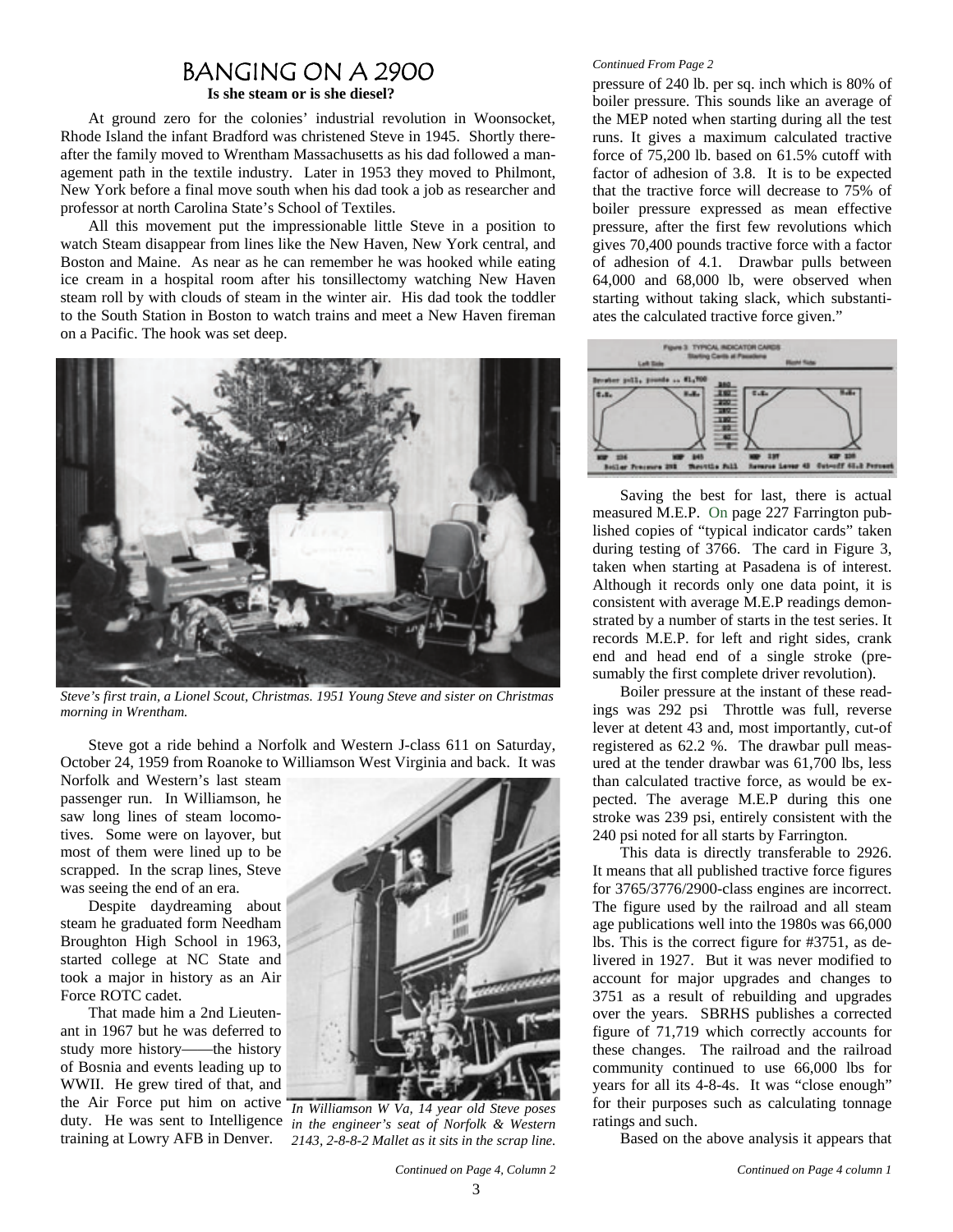# BANGING ON A 2900

**Is she steam or is she diesel?**

At ground zero for the colonies' industrial revolution in Woonsocket, Rhode Island the infant Bradford was christened Steve in 1945. Shortly thereafter the family moved to Wrentham Massachusetts as his dad followed a management path in the textile industry. Later in 1953 they moved to Philmont, New York before a final move south when his dad took a job as researcher and professor at north Carolina State's School of Textiles.

All this movement put the impressionable little Steve in a position to watch Steam disappear from lines like the New Haven, New York central, and Boston and Maine. As near as he can remember he was hooked while eating ice cream in a hospital room after his tonsillectomy watching New Haven steam roll by with clouds of steam in the winter air. His dad took the toddler to the South Station in Boston to watch trains and meet a New Haven fireman on a Pacific. The hook was set deep.



*Steve's first train, a Lionel Scout, Christmas. 1951 Young Steve and sister on Christmas morning in Wrentham.* 

Steve got a ride behind a Norfolk and Western J-class 611 on Saturday, October 24, 1959 from Roanoke to Williamson West Virginia and back. It was

Norfolk and Western's last steam passenger run. In Williamson, he saw long lines of steam locomotives. Some were on layover, but most of them were lined up to be scrapped. In the scrap lines, Steve was seeing the end of an era.

Despite daydreaming about steam he graduated form Needham Broughton High School in 1963, started college at NC State and took a major in history as an Air Force ROTC cadet.

That made him a 2nd Lieutenant in 1967 but he was deferred to study more history——the history of Bosnia and events leading up to WWII. He grew tired of that, and the Air Force put him on active duty. He was sent to Intelligence training at Lowry AFB in Denver.



*In Williamson W Va, 14 year old Steve poses in the engineer's seat of Norfolk & Western 2143, 2-8-8-2 Mallet as it sits in the scrap line.* 

#### *Continued From Page 2*

pressure of 240 lb. per sq. inch which is 80% of boiler pressure. This sounds like an average of the MEP noted when starting during all the test runs. It gives a maximum calculated tractive force of 75,200 lb. based on 61.5% cutoff with factor of adhesion of 3.8. It is to be expected that the tractive force will decrease to 75% of boiler pressure expressed as mean effective pressure, after the first few revolutions which gives 70,400 pounds tractive force with a factor of adhesion of 4.1. Drawbar pulls between 64,000 and 68,000 lb, were observed when starting without taking slack, which substantiates the calculated tractive force given."



Saving the best for last, there is actual measured M.E.P. On page 227 Farrington published copies of "typical indicator cards" taken during testing of 3766. The card in Figure 3, taken when starting at Pasadena is of interest. Although it records only one data point, it is consistent with average M.E.P readings demonstrated by a number of starts in the test series. It records M.E.P. for left and right sides, crank end and head end of a single stroke (presumably the first complete driver revolution).

Boiler pressure at the instant of these readings was 292 psi Throttle was full, reverse lever at detent 43 and, most importantly, cut-of registered as 62.2 %. The drawbar pull measured at the tender drawbar was 61,700 lbs, less than calculated tractive force, as would be expected. The average M.E.P during this one stroke was 239 psi, entirely consistent with the 240 psi noted for all starts by Farrington.

This data is directly transferable to 2926. It means that all published tractive force figures for 3765/3776/2900-class engines are incorrect. The figure used by the railroad and all steam age publications well into the 1980s was 66,000 lbs. This is the correct figure for #3751, as delivered in 1927. But it was never modified to account for major upgrades and changes to 3751 as a result of rebuilding and upgrades over the years. SBRHS publishes a corrected figure of 71,719 which correctly accounts for these changes. The railroad and the railroad community continued to use 66,000 lbs for years for all its 4-8-4s. It was "close enough" for their purposes such as calculating tonnage ratings and such.

Based on the above analysis it appears that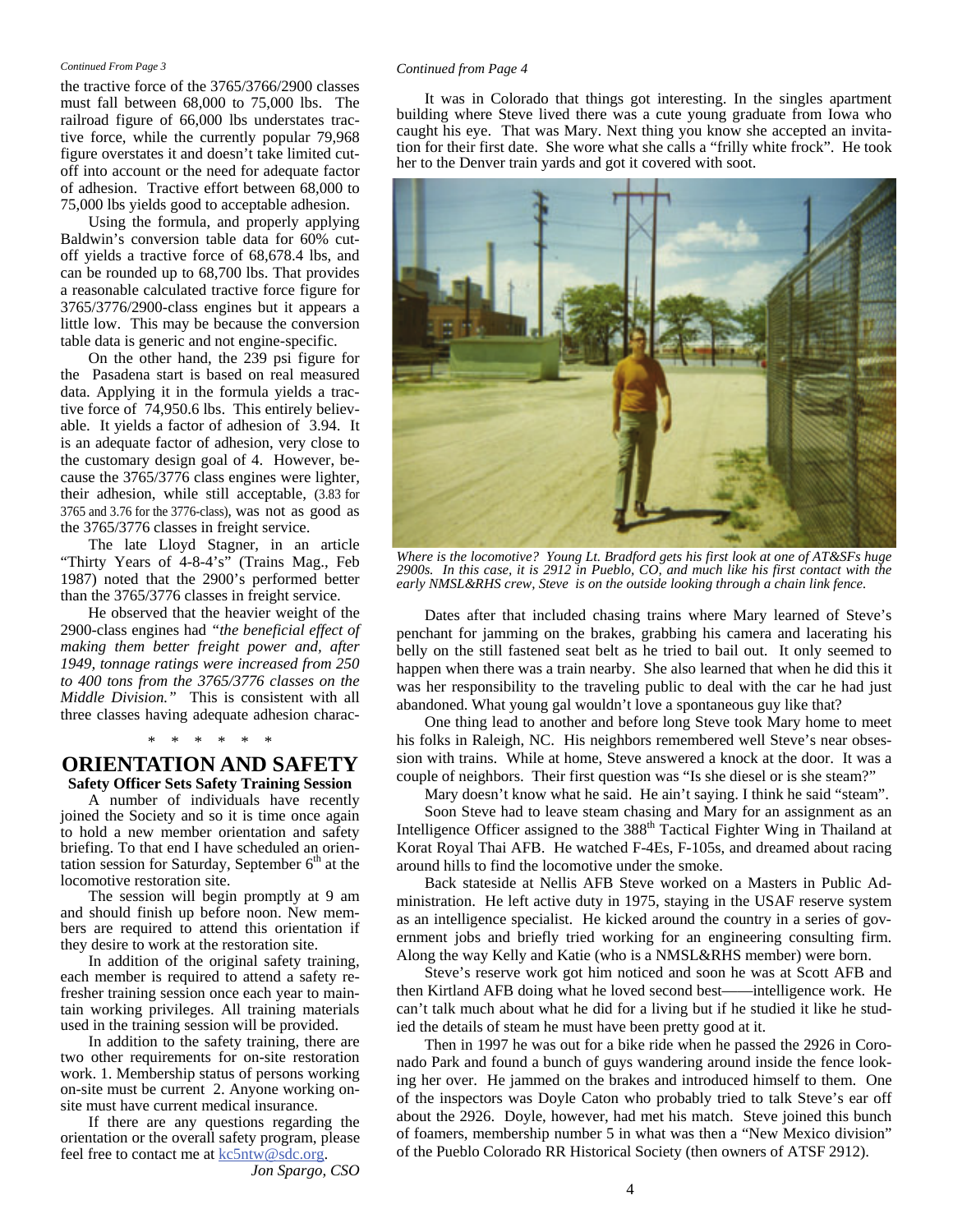#### *Continued From Page 3*

the tractive force of the 3765/3766/2900 classes must fall between 68,000 to 75,000 lbs. The railroad figure of 66,000 lbs understates tractive force, while the currently popular 79,968 figure overstates it and doesn't take limited cutoff into account or the need for adequate factor of adhesion. Tractive effort between 68,000 to 75,000 lbs yields good to acceptable adhesion.

Using the formula, and properly applying Baldwin's conversion table data for 60% cutoff yields a tractive force of 68,678.4 lbs, and can be rounded up to 68,700 lbs. That provides a reasonable calculated tractive force figure for 3765/3776/2900-class engines but it appears a little low. This may be because the conversion table data is generic and not engine-specific.

On the other hand, the 239 psi figure for the Pasadena start is based on real measured data. Applying it in the formula yields a tractive force of 74,950.6 lbs. This entirely believable. It yields a factor of adhesion of 3.94. It is an adequate factor of adhesion, very close to the customary design goal of 4. However, because the 3765/3776 class engines were lighter, their adhesion, while still acceptable, (3.83 for 3765 and 3.76 for the 3776-class), was not as good as the 3765/3776 classes in freight service.

The late Lloyd Stagner, in an article "Thirty Years of 4-8-4's" (Trains Mag., Feb 1987) noted that the 2900's performed better than the 3765/3776 classes in freight service.

He observed that the heavier weight of the 2900-class engines had *"the beneficial effect of making them better freight power and, after 1949, tonnage ratings were increased from 250 to 400 tons from the 3765/3776 classes on the Middle Division."* This is consistent with all three classes having adequate adhesion charac-

### **ORIENTATION AND SAFETY Safety Officer Sets Safety Training Session**  \* \* \* \* \* \*

A number of individuals have recently joined the Society and so it is time once again to hold a new member orientation and safety briefing. To that end I have scheduled an orientation session for Saturday, September  $6<sup>th</sup>$  at the locomotive restoration site.

The session will begin promptly at 9 am and should finish up before noon. New members are required to attend this orientation if they desire to work at the restoration site.

In addition of the original safety training, each member is required to attend a safety refresher training session once each year to maintain working privileges. All training materials used in the training session will be provided.

In addition to the safety training, there are two other requirements for on-site restoration work. 1. Membership status of persons working on-site must be current 2. Anyone working onsite must have current medical insurance.

If there are any questions regarding the orientation or the overall safety program, please feel free to contact me at  $k \cdot 5$ ntw $@$ sdc.org.

*Jon Spargo, CSO* 

#### *Continued from Page 4*

It was in Colorado that things got interesting. In the singles apartment building where Steve lived there was a cute young graduate from Iowa who caught his eye. That was Mary. Next thing you know she accepted an invitation for their first date. She wore what she calls a "frilly white frock". He took her to the Denver train yards and got it covered with soot.



*Where is the locomotive? Young Lt. Bradford gets his first look at one of AT&SFs huge 2900s. In this case, it is 2912 in Pueblo, CO, and much like his first contact with the early NMSL&RHS crew, Steve is on the outside looking through a chain link fence.* 

Dates after that included chasing trains where Mary learned of Steve's penchant for jamming on the brakes, grabbing his camera and lacerating his belly on the still fastened seat belt as he tried to bail out. It only seemed to happen when there was a train nearby. She also learned that when he did this it was her responsibility to the traveling public to deal with the car he had just abandoned. What young gal wouldn't love a spontaneous guy like that?

One thing lead to another and before long Steve took Mary home to meet his folks in Raleigh, NC. His neighbors remembered well Steve's near obsession with trains. While at home, Steve answered a knock at the door. It was a couple of neighbors. Their first question was "Is she diesel or is she steam?"

Mary doesn't know what he said. He ain't saying. I think he said "steam". Soon Steve had to leave steam chasing and Mary for an assignment as an

Intelligence Officer assigned to the 388<sup>th</sup> Tactical Fighter Wing in Thailand at Korat Royal Thai AFB. He watched F-4Es, F-105s, and dreamed about racing around hills to find the locomotive under the smoke.

Back stateside at Nellis AFB Steve worked on a Masters in Public Administration. He left active duty in 1975, staying in the USAF reserve system as an intelligence specialist. He kicked around the country in a series of government jobs and briefly tried working for an engineering consulting firm. Along the way Kelly and Katie (who is a NMSL&RHS member) were born.

Steve's reserve work got him noticed and soon he was at Scott AFB and then Kirtland AFB doing what he loved second best——intelligence work. He can't talk much about what he did for a living but if he studied it like he studied the details of steam he must have been pretty good at it.

Then in 1997 he was out for a bike ride when he passed the 2926 in Coronado Park and found a bunch of guys wandering around inside the fence looking her over. He jammed on the brakes and introduced himself to them. One of the inspectors was Doyle Caton who probably tried to talk Steve's ear off about the 2926. Doyle, however, had met his match. Steve joined this bunch of foamers, membership number 5 in what was then a "New Mexico division" of the Pueblo Colorado RR Historical Society (then owners of ATSF 2912).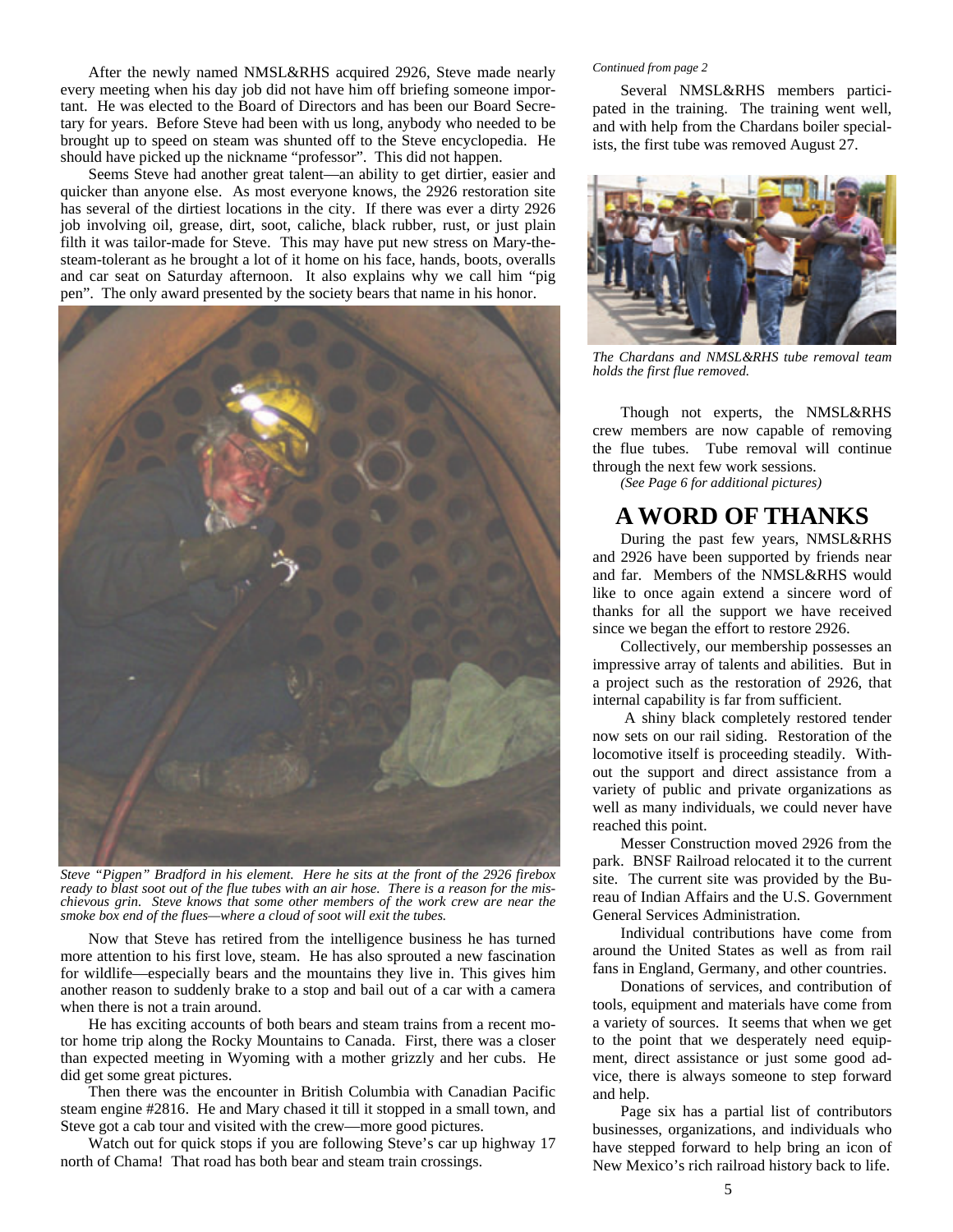After the newly named NMSL&RHS acquired 2926, Steve made nearly every meeting when his day job did not have him off briefing someone important. He was elected to the Board of Directors and has been our Board Secretary for years. Before Steve had been with us long, anybody who needed to be brought up to speed on steam was shunted off to the Steve encyclopedia. He should have picked up the nickname "professor". This did not happen.

Seems Steve had another great talent—an ability to get dirtier, easier and quicker than anyone else. As most everyone knows, the 2926 restoration site has several of the dirtiest locations in the city. If there was ever a dirty 2926 job involving oil, grease, dirt, soot, caliche, black rubber, rust, or just plain filth it was tailor-made for Steve. This may have put new stress on Mary-thesteam-tolerant as he brought a lot of it home on his face, hands, boots, overalls and car seat on Saturday afternoon. It also explains why we call him "pig pen". The only award presented by the society bears that name in his honor.



*Steve "Pigpen" Bradford in his element. Here he sits at the front of the 2926 firebox ready to blast soot out of the flue tubes with an air hose. There is a reason for the mischievous grin. Steve knows that some other members of the work crew are near the smoke box end of the flues—where a cloud of soot will exit the tubes.* 

Now that Steve has retired from the intelligence business he has turned more attention to his first love, steam. He has also sprouted a new fascination for wildlife—especially bears and the mountains they live in. This gives him another reason to suddenly brake to a stop and bail out of a car with a camera when there is not a train around.

He has exciting accounts of both bears and steam trains from a recent motor home trip along the Rocky Mountains to Canada. First, there was a closer than expected meeting in Wyoming with a mother grizzly and her cubs. He did get some great pictures.

Then there was the encounter in British Columbia with Canadian Pacific steam engine #2816. He and Mary chased it till it stopped in a small town, and Steve got a cab tour and visited with the crew—more good pictures.

Watch out for quick stops if you are following Steve's car up highway 17 north of Chama! That road has both bear and steam train crossings.

#### *Continued from page 2*

Several NMSL&RHS members participated in the training. The training went well, and with help from the Chardans boiler specialists, the first tube was removed August 27.



*The Chardans and NMSL&RHS tube removal team holds the first flue removed.* 

Though not experts, the NMSL&RHS crew members are now capable of removing the flue tubes. Tube removal will continue through the next few work sessions.

*(See Page 6 for additional pictures)* 

## **A WORD OF THANKS**

During the past few years, NMSL&RHS and 2926 have been supported by friends near and far. Members of the NMSL&RHS would like to once again extend a sincere word of thanks for all the support we have received since we began the effort to restore 2926.

Collectively, our membership possesses an impressive array of talents and abilities. But in a project such as the restoration of 2926, that internal capability is far from sufficient.

 A shiny black completely restored tender now sets on our rail siding. Restoration of the locomotive itself is proceeding steadily. Without the support and direct assistance from a variety of public and private organizations as well as many individuals, we could never have reached this point.

Messer Construction moved 2926 from the park. BNSF Railroad relocated it to the current site. The current site was provided by the Bureau of Indian Affairs and the U.S. Government General Services Administration.

Individual contributions have come from around the United States as well as from rail fans in England, Germany, and other countries.

Donations of services, and contribution of tools, equipment and materials have come from a variety of sources. It seems that when we get to the point that we desperately need equipment, direct assistance or just some good advice, there is always someone to step forward and help.

Page six has a partial list of contributors businesses, organizations, and individuals who have stepped forward to help bring an icon of New Mexico's rich railroad history back to life.